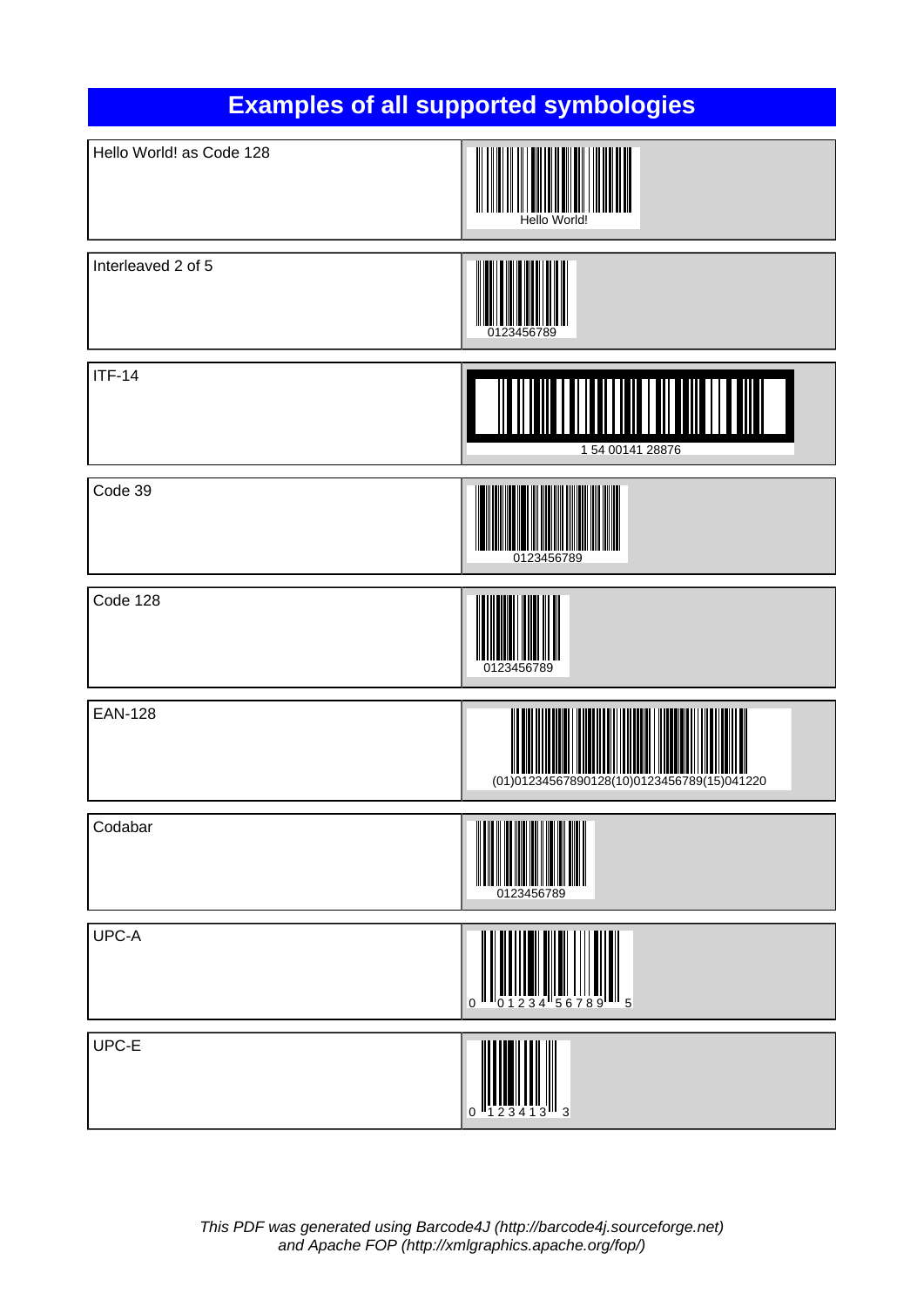

This PDF was generated using Barcode4J [\(http://barcode4j.sourceforge.net](http://barcode4j.sourceforge.net)) and Apache FOP [\(http://xmlgraphics.apache.org/fop/\)](http://xmlgraphics.apache.org/fop/)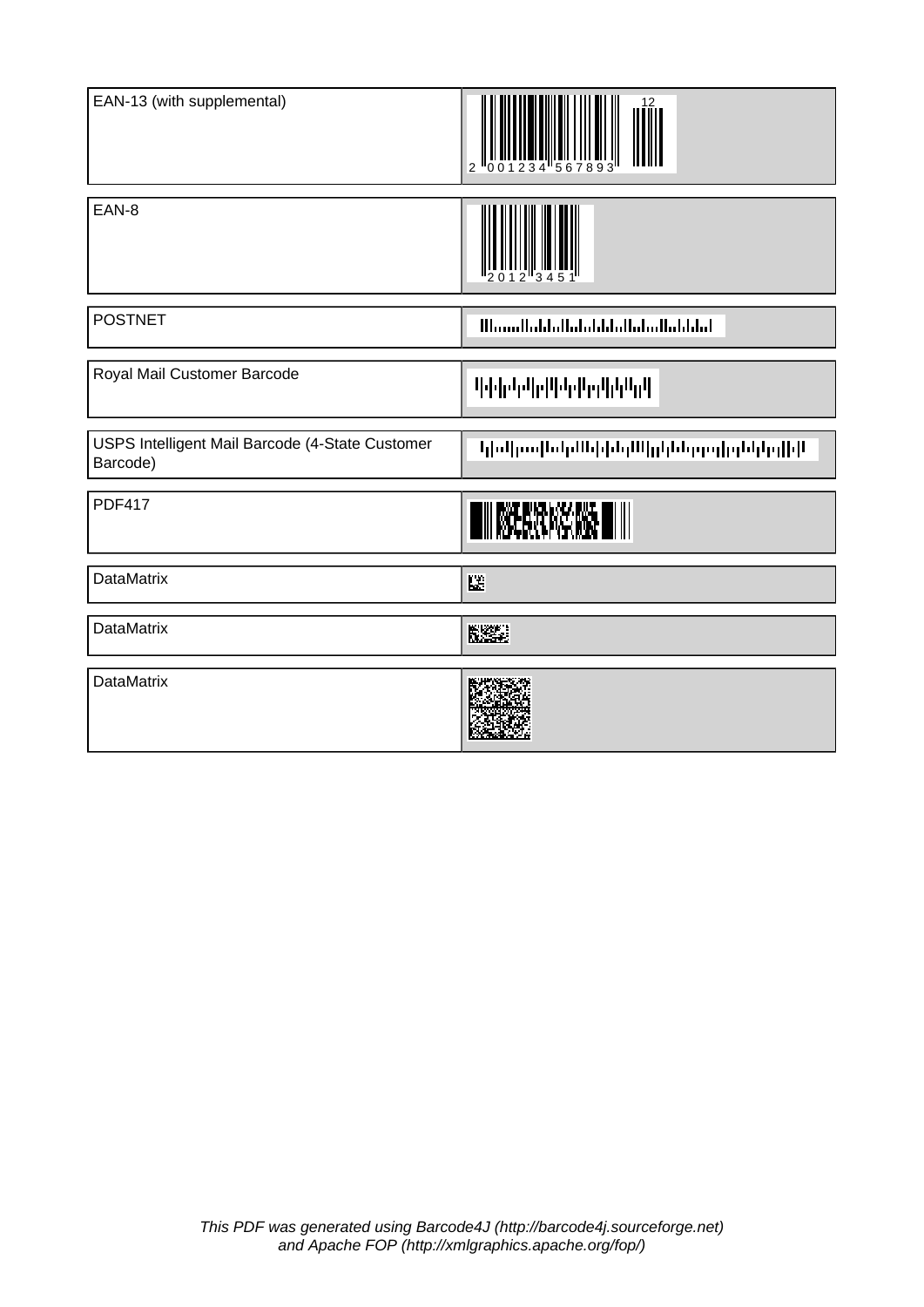| EAN-13 (with supplemental)                                  | $\overline{2}$                         |
|-------------------------------------------------------------|----------------------------------------|
| EAN-8                                                       |                                        |
| <b>POSTNET</b>                                              | <u>Maaallahhallahdahhallahallahdah</u> |
| Royal Mail Customer Barcode                                 | <b>Telehelplichler</b> lichler         |
| USPS Intelligent Mail Barcode (4-State Customer<br>Barcode) | կիրկանական կեղմներների հերթին կո       |
| <b>PDF417</b>                                               |                                        |
| <b>DataMatrix</b>                                           | 陛                                      |
| <b>DataMatrix</b>                                           | NSE.                                   |
| <b>DataMatrix</b>                                           |                                        |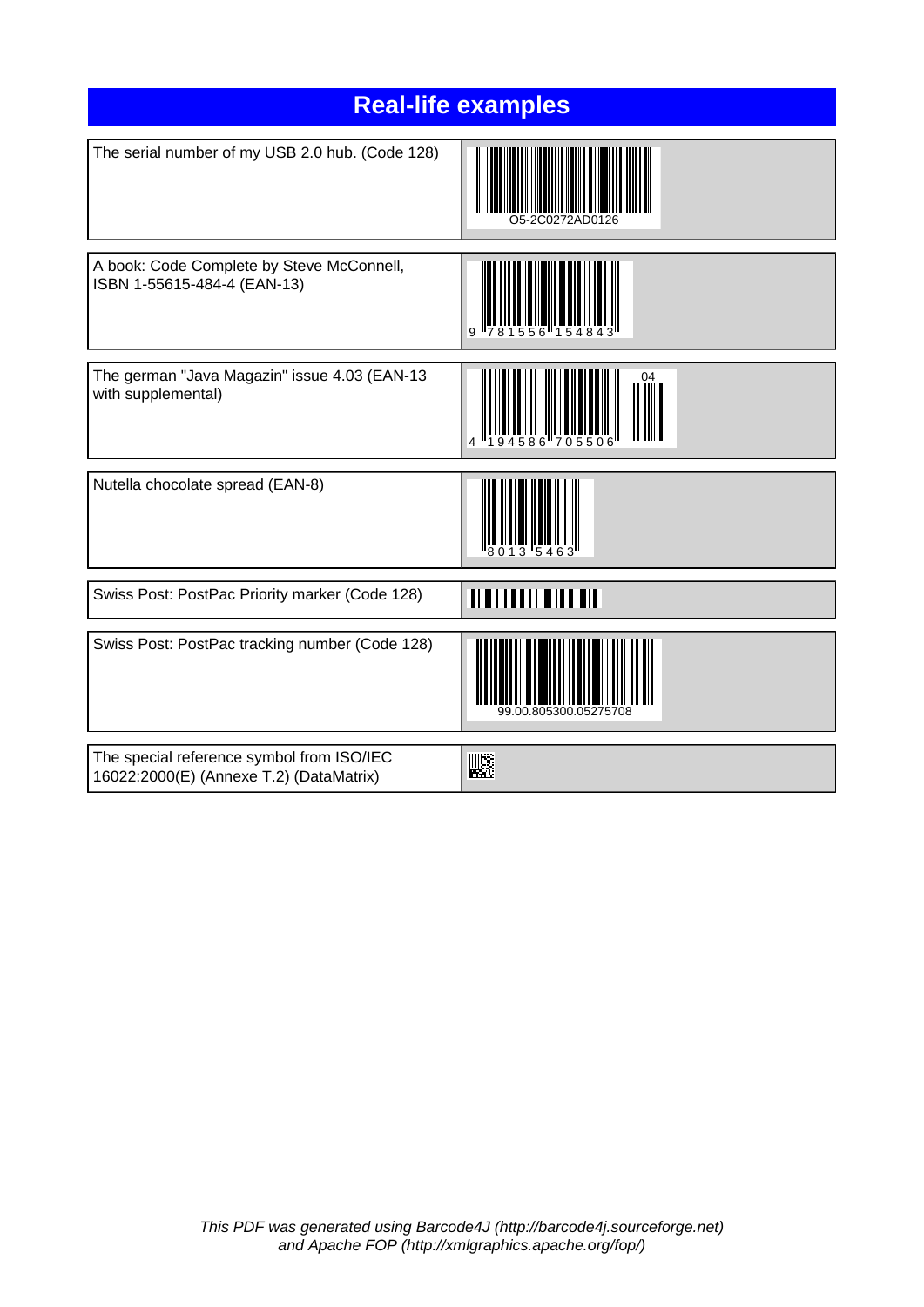| <b>Real-life examples</b>                                                            |                       |  |
|--------------------------------------------------------------------------------------|-----------------------|--|
| The serial number of my USB 2.0 hub. (Code 128)                                      |                       |  |
| A book: Code Complete by Steve McConnell,<br>ISBN 1-55615-484-4 (EAN-13)             |                       |  |
| The german "Java Magazin" issue 4.03 (EAN-13<br>with supplemental)                   |                       |  |
| Nutella chocolate spread (EAN-8)                                                     |                       |  |
| Swiss Post: PostPac Priority marker (Code 128)                                       | Ш<br>MANI             |  |
| Swiss Post: PostPac tracking number (Code 128)                                       | 99.00.805300.05275708 |  |
| The special reference symbol from ISO/IEC<br>16022:2000(E) (Annexe T.2) (DataMatrix) | 飋                     |  |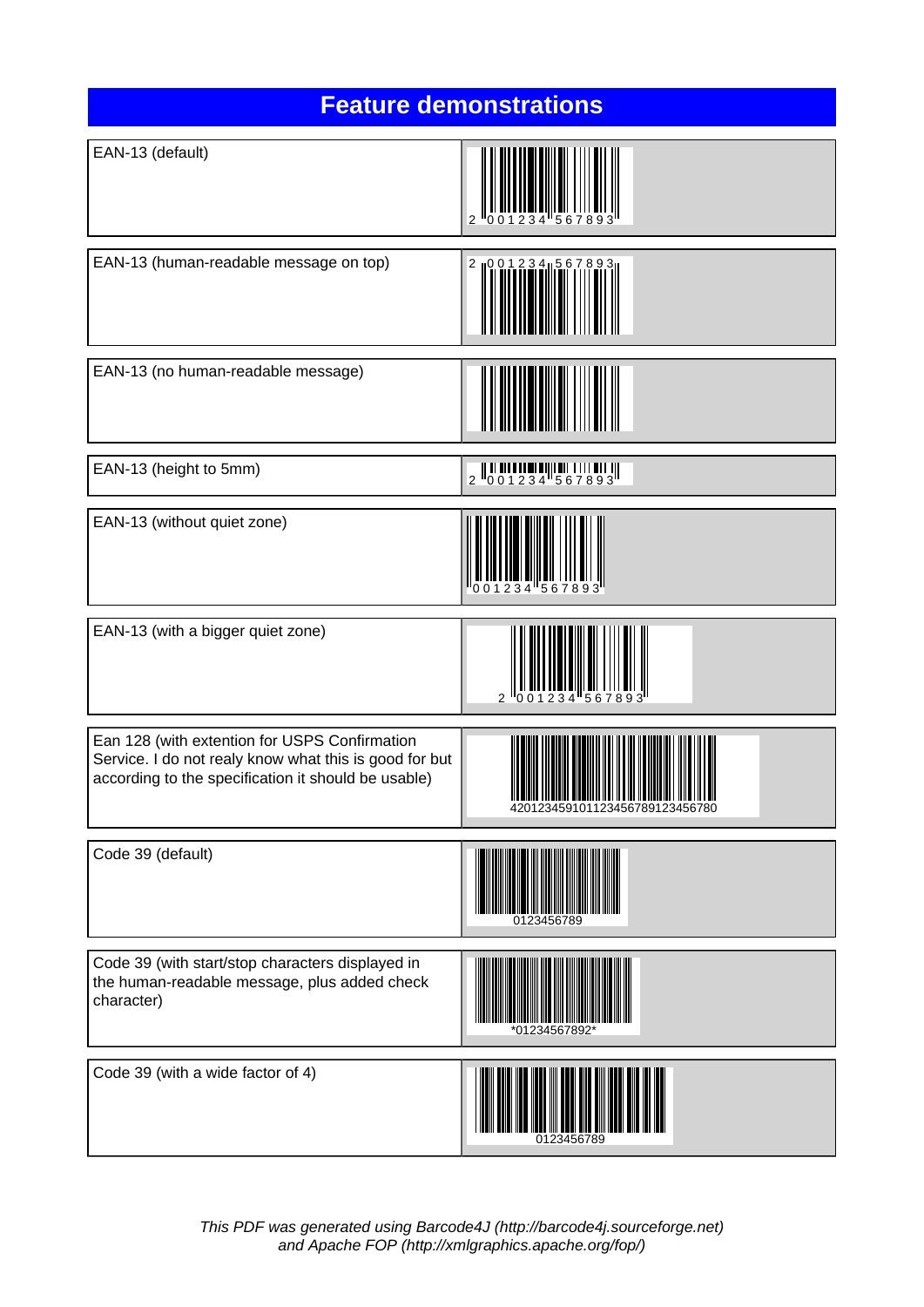| <b>Feature demonstrations</b>                                                                                                                                  |                                                                                          |
|----------------------------------------------------------------------------------------------------------------------------------------------------------------|------------------------------------------------------------------------------------------|
| EAN-13 (default)                                                                                                                                               |                                                                                          |
| EAN-13 (human-readable message on top)                                                                                                                         | 2 10 0 1 2 3 4 1 5 6                                                                     |
| EAN-13 (no human-readable message)                                                                                                                             |                                                                                          |
| EAN-13 (height to 5mm)                                                                                                                                         | $\begin{array}{c} 2 \parallel 0 & 0 & 1 & 2 & 3 & 4 & 1 & 6 & 7 & 8 & 9 & 3 \end{array}$ |
| EAN-13 (without quiet zone)                                                                                                                                    |                                                                                          |
| EAN-13 (with a bigger quiet zone)                                                                                                                              | $\mathfrak{p}$                                                                           |
| Ean 128 (with extention for USPS Confirmation<br>Service. I do not realy know what this is good for but<br>according to the specification it should be usable) | <u> TITIN ANANININ IN IN IN ANITAIR</u><br>42012345910112345678912                       |
| Code 39 (default)                                                                                                                                              | 0123456789                                                                               |
| Code 39 (with start/stop characters displayed in<br>the human-readable message, plus added check<br>character)                                                 | *01234567892 <sup>*</sup>                                                                |
| Code 39 (with a wide factor of 4)                                                                                                                              | 0123456789                                                                               |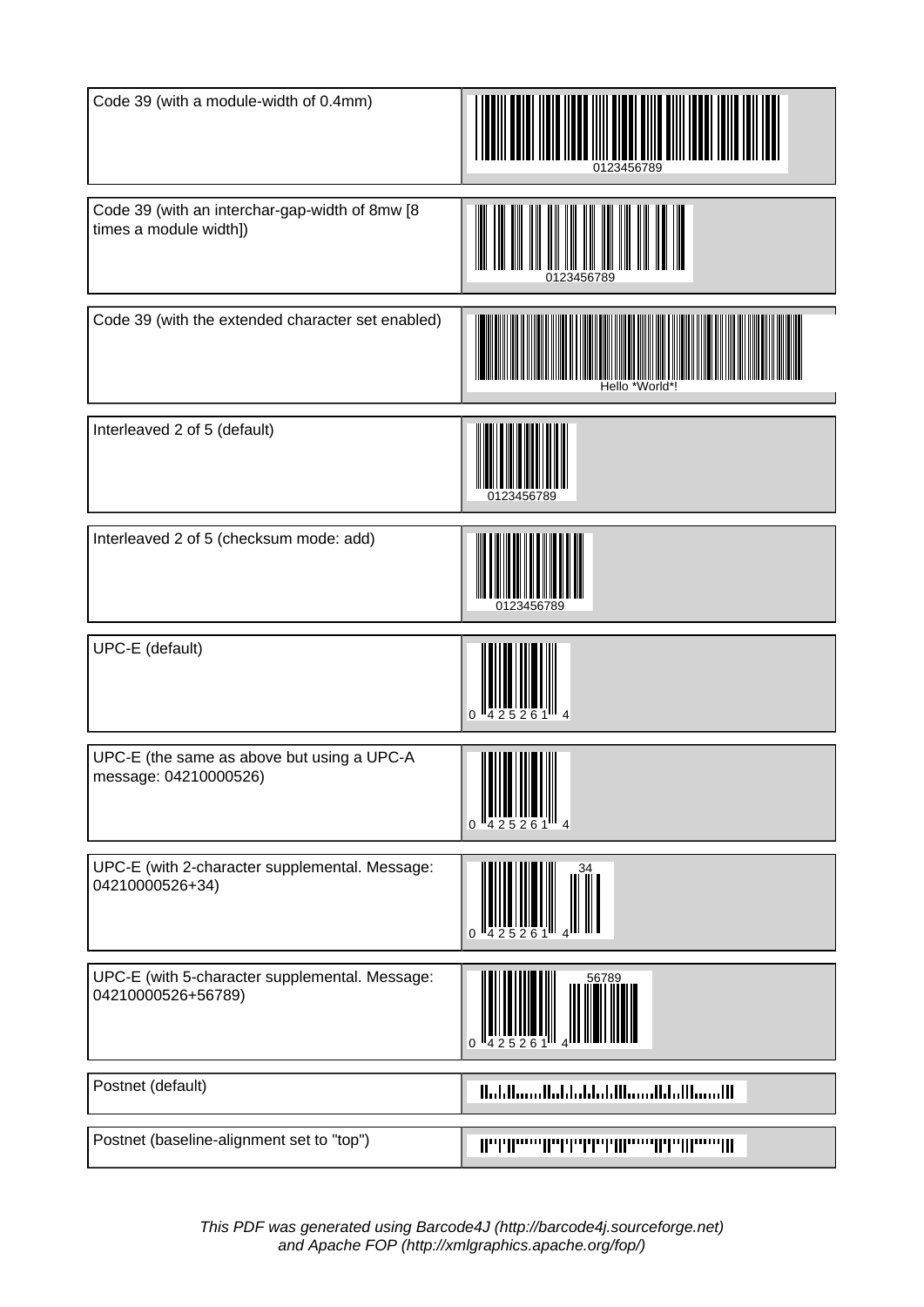| Code 39 (with a module-width of 0.4mm)                                   | 0123456789                             |
|--------------------------------------------------------------------------|----------------------------------------|
| Code 39 (with an interchar-gap-width of 8mw [8<br>times a module width]) |                                        |
| Code 39 (with the extended character set enabled)                        | Hello '<br>'World'                     |
| Interleaved 2 of 5 (default)                                             | '3456789                               |
| Interleaved 2 of 5 (checksum mode: add)                                  | 0123456789                             |
| UPC-E (default)                                                          | 0                                      |
| UPC-E (the same as above but using a UPC-A<br>message: 04210000526)      | Ⅲ<br><u>HII HII HII </u>               |
| UPC-E (with 2-character supplemental. Message:<br>04210000526+34)        |                                        |
| UPC-E (with 5-character supplemental. Message:<br>04210000526+56789)     | 56789                                  |
| Postnet (default)                                                        | Habilianallabhabhabilianalbhallianaill |
| Postnet (baseline-alignment set to "top")                                |                                        |

This PDF was generated using Barcode4J [\(http://barcode4j.sourceforge.net](http://barcode4j.sourceforge.net)) and Apache FOP [\(http://xmlgraphics.apache.org/fop/\)](http://xmlgraphics.apache.org/fop/)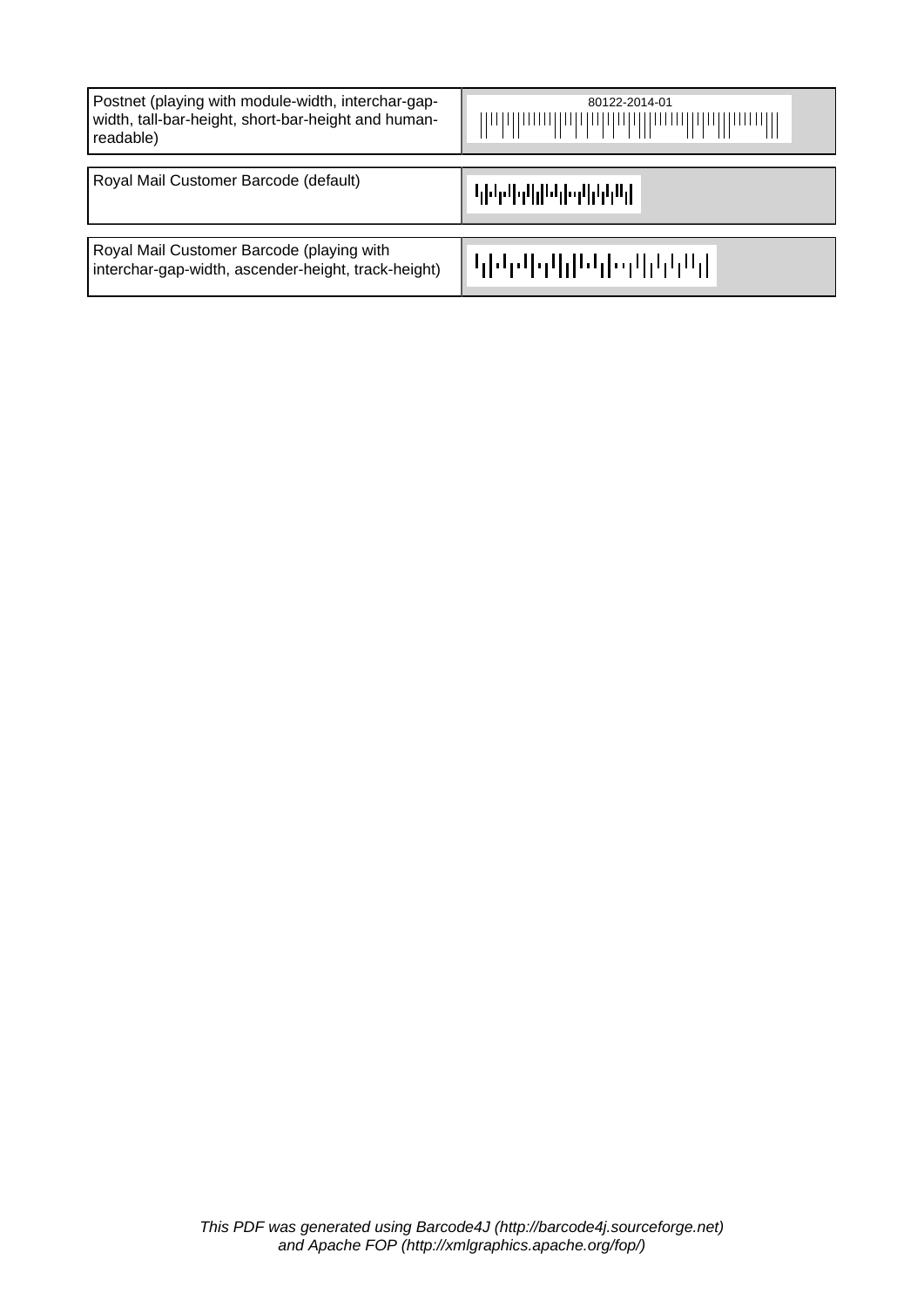| Postnet (playing with module-width, interchar-gap-<br>width, tall-bar-height, short-bar-height and human-<br>readable) | 80122-2014-01<br>Wohlhoodhabbabballhoodhballhoodll |
|------------------------------------------------------------------------------------------------------------------------|----------------------------------------------------|
| Royal Mail Customer Barcode (default)                                                                                  |                                                    |
| Royal Mail Customer Barcode (playing with<br>interchar-gap-width, ascender-height, track-height)                       | ╟┖┎┞┙┎┙┞┱┸┟╂┖┙┟┠╍┰┸┟┸┰┖┰╂                          |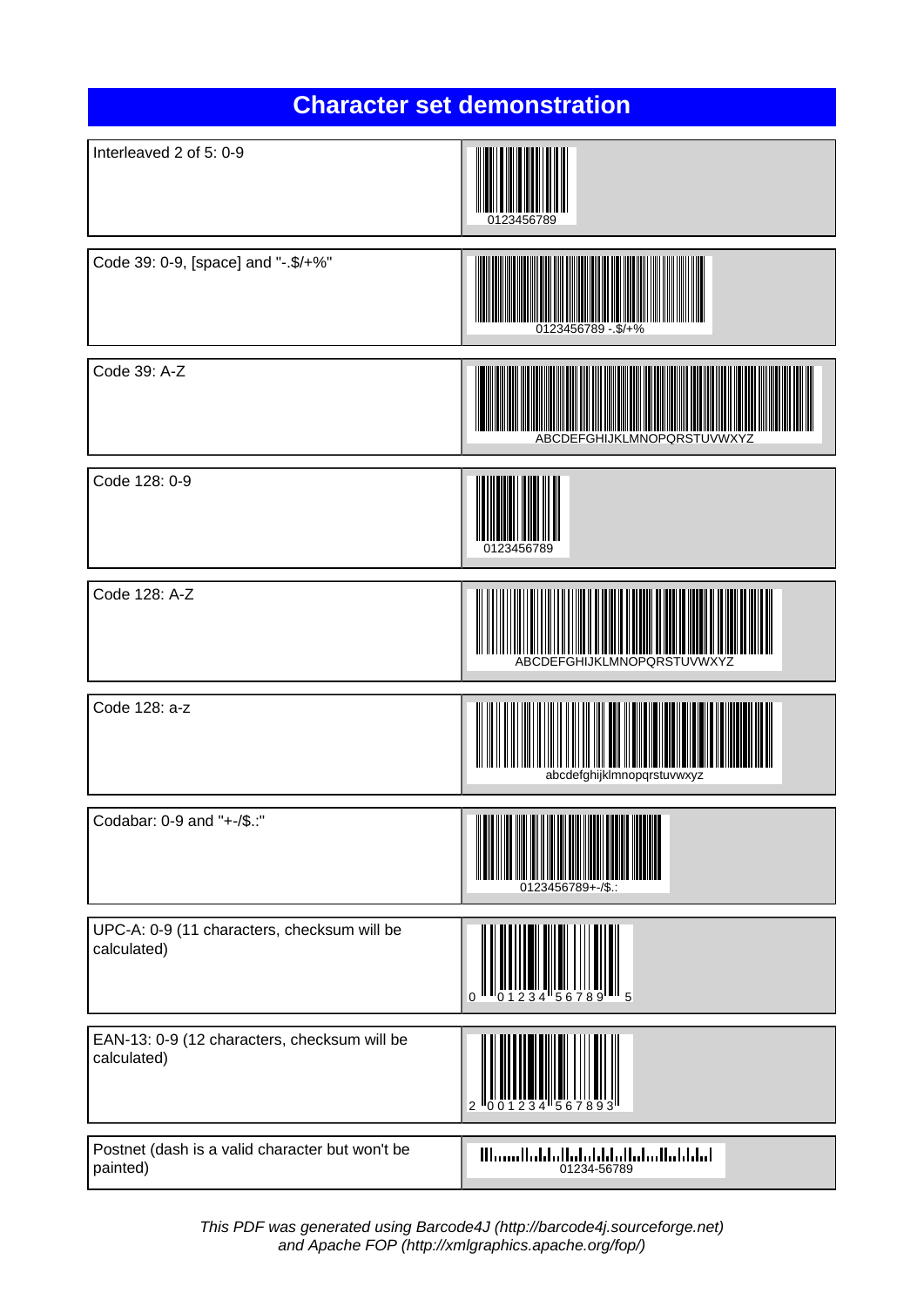| <b>Character set demonstration</b>                          |                                                                                                                                                                                                                                                                                                                                                                     |
|-------------------------------------------------------------|---------------------------------------------------------------------------------------------------------------------------------------------------------------------------------------------------------------------------------------------------------------------------------------------------------------------------------------------------------------------|
| Interleaved 2 of 5: 0-9                                     | 0123456789                                                                                                                                                                                                                                                                                                                                                          |
| Code 39: 0-9, [space] and "-.\$/+%"                         | 0123456789 -.\$/+%                                                                                                                                                                                                                                                                                                                                                  |
| Code 39: A-Z                                                | ABCDEFGHIJKLMNOPQRSTUVWXYZ                                                                                                                                                                                                                                                                                                                                          |
| Code 128: 0-9                                               | 0123456789                                                                                                                                                                                                                                                                                                                                                          |
| Code 128: A-Z                                               | ABCDEFGHIJKLMNOPQRSTUVWXYZ                                                                                                                                                                                                                                                                                                                                          |
| Code 128: a-z                                               | abcdefghiiklmnopgrstuvwxvz                                                                                                                                                                                                                                                                                                                                          |
| Codabar: 0-9 and "+-/\$.:"                                  | 0123456789+-/\$.:                                                                                                                                                                                                                                                                                                                                                   |
| UPC-A: 0-9 (11 characters, checksum will be<br>calculated)  |                                                                                                                                                                                                                                                                                                                                                                     |
| EAN-13: 0-9 (12 characters, checksum will be<br>calculated) |                                                                                                                                                                                                                                                                                                                                                                     |
| Postnet (dash is a valid character but won't be<br>painted) | $\text{III} _{111} \text{III} _{111} \text{II} _{11} \text{II} _{11} \text{II} _{11} \text{II} _{11} \text{II} _{11} \text{II} _{11} \text{II} _{11} \text{II} _{11} \text{II} _{11} \text{II} _{11} \text{II} _{11} \text{II} _{11} \text{II} _{11} \text{II} _{11} \text{II} _{11} \text{II} _{11} \text{II} _{11} \text{II} _{11} \text{II} _{11} \text{II} _{1$ |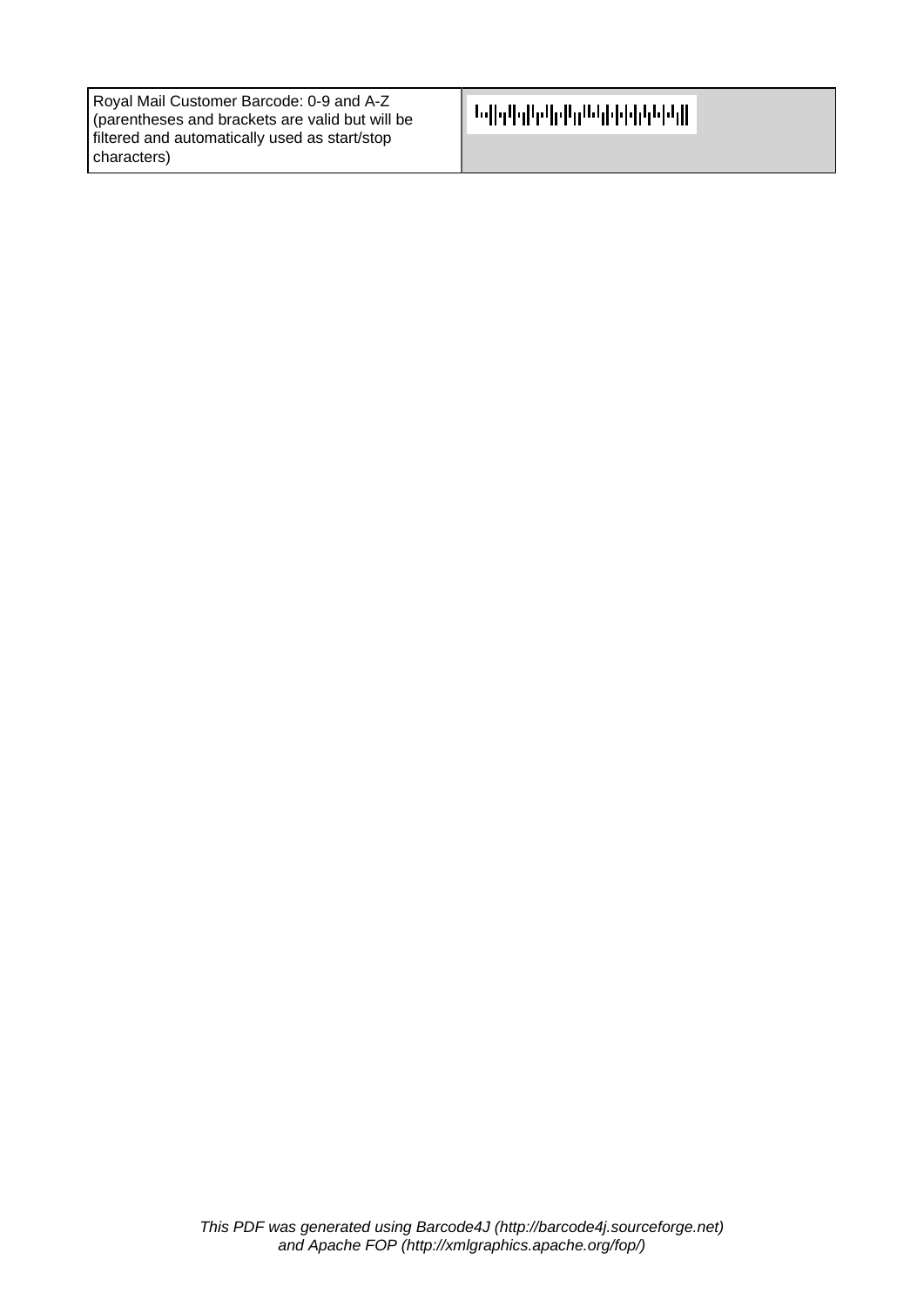| Royal Mail Customer Barcode: 0-9 and A-Z        |
|-------------------------------------------------|
| (parentheses and brackets are valid but will be |
| filtered and automatically used as start/stop   |
| characters)                                     |